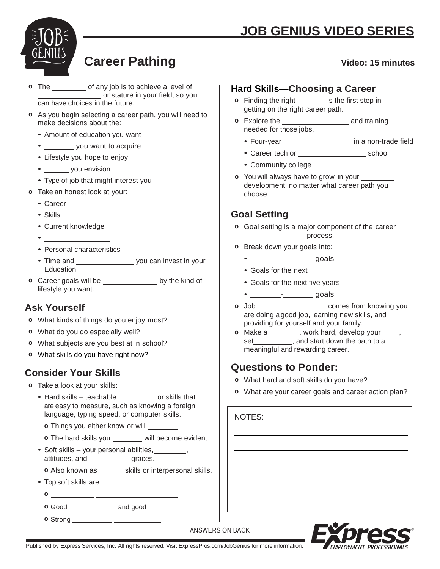



# **Career Pathing Video: 15 minutes**

#### **o** The <u>same section</u> of any job is to achieve a level of \_\_\_\_\_\_ or stature in your field, so you can have choices in the future.

- **o** As you begin selecting a career path, you will need to make decisions about the:
	- Amount of education you want
	- \_\_\_\_\_\_\_\_\_ you want to acquire
	- Lifestyle you hope to enjoy
	- you envision
	- Type of job that might interest you
- **o** Take an honest look at your:
	- Career \_\_\_\_\_\_\_\_\_\_
	- Skills
	- Current knowledge
	- •
	- Personal characteristics
	- Time and \_\_\_\_\_\_\_\_\_\_\_\_\_\_\_\_\_\_\_\_\_ you can invest in your Education
- **o** Career goals will be by the kind of lifestyle you want.

# **Ask Yourself**

- **o** What kinds of things do you enjoy most?
- **o** What do you do especially well?
- **o** What subjects are you best at in school?
- **o** What skills do you have right now?

# **Consider Your Skills**

- **o** Take a look at your skills:
	- Hard skills teachable or skills that are easy to measure, such as knowing a foreign language, typing speed, or computer skills.
		- **o** Things you either know or will \_\_\_\_\_\_\_.
		- **o** The hard skills you \_\_\_\_\_\_\_ will become evident.
	- Soft skills your personal abilities, where  $\sim$ , attitudes, and \_\_\_\_\_\_\_\_\_\_\_\_ graces.
		- **o** Also known as \_\_\_\_\_\_ skills or interpersonal skills.
	- Top soft skills are:
		- **o**
		- **o** Good and good
		- **o** Strong

### **Hard Skills—Choosing a Career**

- **o** Finding the right \_\_\_\_\_\_\_ is the first step in getting on the right career path.
- **o** Explore the **and training** needed for those jobs.
	- Four-year \_\_\_\_\_\_\_\_\_\_\_\_\_\_\_\_\_\_\_\_ in a non-trade field
	- Career tech or school
	- Community college
- **o** You will always have to grow in your development, no matter what career path you choose.

# **Goal Setting**

- **o** Goal setting is a major component of the career **process**.
- **o** Break down your goals into:
	- $\cdot$   $\qquad \qquad$  goals
	- Goals for the next
	- Goals for the next five years
	- - goals
- **o** Job **comes from knowing you** are doing a good job, learning new skills, and providing for yourself and your family.
- **o** Make a \_\_\_\_\_\_\_\_, work hard, develop your \_\_\_\_, set , and start down the path to a meaningful and rewarding career.

# **Questions to Ponder:**

- **o** What hard and soft skills do you have?
- **o** What are your career goals and career action plan?

NOTES:

 $\overline{a}$ 

 $\overline{a}$ 

 $\overline{a}$ 

**FMPI OYMENT PROFESS** 

ANSWERS ON BACK